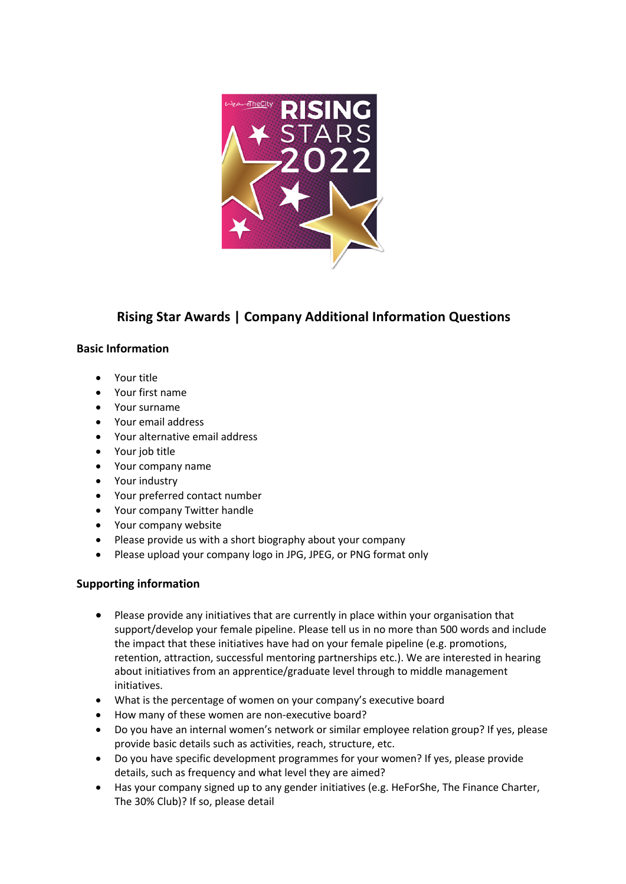

## **Rising Star Awards | Company Additional Information Questions**

## **Basic Information**

- Your title
- Your first name
- Your surname
- Your email address
- Your alternative email address
- Your job title
- Your company name
- Your industry
- Your preferred contact number
- Your company Twitter handle
- Your company website
- Please provide us with a short biography about your company
- Please upload your company logo in JPG, JPEG, or PNG format only

## **Supporting information**

- Please provide any initiatives that are currently in place within your organisation that support/develop your female pipeline. Please tell us in no more than 500 words and include the impact that these initiatives have had on your female pipeline (e.g. promotions, retention, attraction, successful mentoring partnerships etc.). We are interested in hearing about initiatives from an apprentice/graduate level through to middle management initiatives.
- What is the percentage of women on your company's executive board
- How many of these women are non-executive board?
- Do you have an internal women's network or similar employee relation group? If yes, please provide basic details such as activities, reach, structure, etc.
- Do you have specific development programmes for your women? If yes, please provide details, such as frequency and what level they are aimed?
- Has your company signed up to any gender initiatives (e.g. HeForShe, The Finance Charter, The 30% Club)? If so, please detail